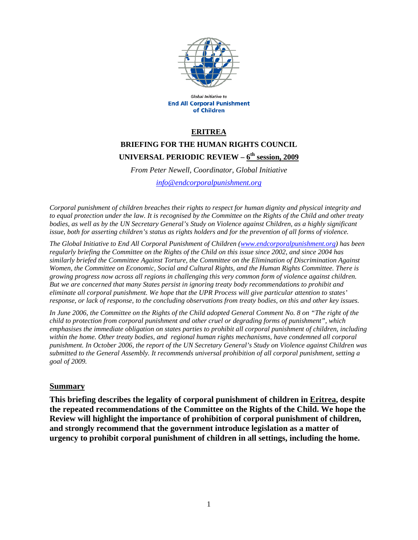

Global Initiative to **End All Corporal Punishment** of Children

#### **ERITREA**

# **BRIEFING FOR THE HUMAN RIGHTS COUNCIL UNIVERSAL PERIODIC REVIEW – 6th session, 2009**

*From Peter Newell, Coordinator, Global Initiative* 

*info@endcorporalpunishment.org*

*Corporal punishment of children breaches their rights to respect for human dignity and physical integrity and to equal protection under the law. It is recognised by the Committee on the Rights of the Child and other treaty bodies, as well as by the UN Secretary General's Study on Violence against Children, as a highly significant issue, both for asserting children's status as rights holders and for the prevention of all forms of violence.* 

*The Global Initiative to End All Corporal Punishment of Children (www.endcorporalpunishment.org) has been regularly briefing the Committee on the Rights of the Child on this issue since 2002, and since 2004 has similarly briefed the Committee Against Torture, the Committee on the Elimination of Discrimination Against Women, the Committee on Economic, Social and Cultural Rights, and the Human Rights Committee. There is growing progress now across all regions in challenging this very common form of violence against children. But we are concerned that many States persist in ignoring treaty body recommendations to prohibit and eliminate all corporal punishment. We hope that the UPR Process will give particular attention to states' response, or lack of response, to the concluding observations from treaty bodies, on this and other key issues.* 

*In June 2006, the Committee on the Rights of the Child adopted General Comment No. 8 on "The right of the child to protection from corporal punishment and other cruel or degrading forms of punishment", which emphasises the immediate obligation on states parties to prohibit all corporal punishment of children, including*  within the home. Other treaty bodies, and regional human rights mechanisms, have condemned all corporal *punishment. In October 2006, the report of the UN Secretary General's Study on Violence against Children was submitted to the General Assembly. It recommends universal prohibition of all corporal punishment, setting a goal of 2009.*

#### **Summary**

**This briefing describes the legality of corporal punishment of children in Eritrea, despite the repeated recommendations of the Committee on the Rights of the Child. We hope the Review will highlight the importance of prohibition of corporal punishment of children, and strongly recommend that the government introduce legislation as a matter of urgency to prohibit corporal punishment of children in all settings, including the home.**